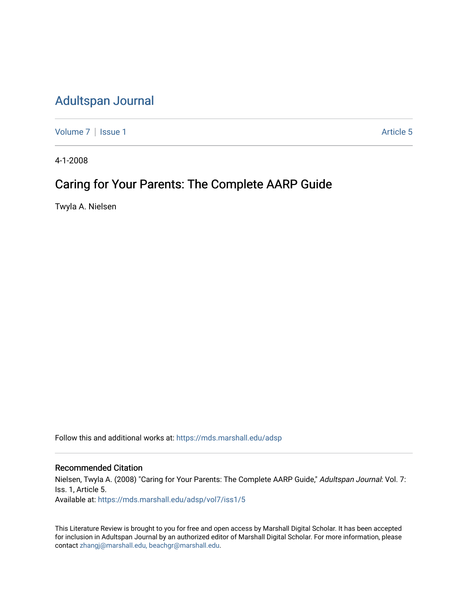## [Adultspan Journal](https://mds.marshall.edu/adsp)

[Volume 7](https://mds.marshall.edu/adsp/vol7) | [Issue 1](https://mds.marshall.edu/adsp/vol7/iss1) Article 5

4-1-2008

# Caring for Your Parents: The Complete AARP Guide

Twyla A. Nielsen

Follow this and additional works at: [https://mds.marshall.edu/adsp](https://mds.marshall.edu/adsp?utm_source=mds.marshall.edu%2Fadsp%2Fvol7%2Fiss1%2F5&utm_medium=PDF&utm_campaign=PDFCoverPages) 

#### Recommended Citation

Nielsen, Twyla A. (2008) "Caring for Your Parents: The Complete AARP Guide," Adultspan Journal: Vol. 7: Iss. 1, Article 5. Available at: [https://mds.marshall.edu/adsp/vol7/iss1/5](https://mds.marshall.edu/adsp/vol7/iss1/5?utm_source=mds.marshall.edu%2Fadsp%2Fvol7%2Fiss1%2F5&utm_medium=PDF&utm_campaign=PDFCoverPages)

This Literature Review is brought to you for free and open access by Marshall Digital Scholar. It has been accepted for inclusion in Adultspan Journal by an authorized editor of Marshall Digital Scholar. For more information, please contact [zhangj@marshall.edu, beachgr@marshall.edu](mailto:zhangj@marshall.edu,%20beachgr@marshall.edu).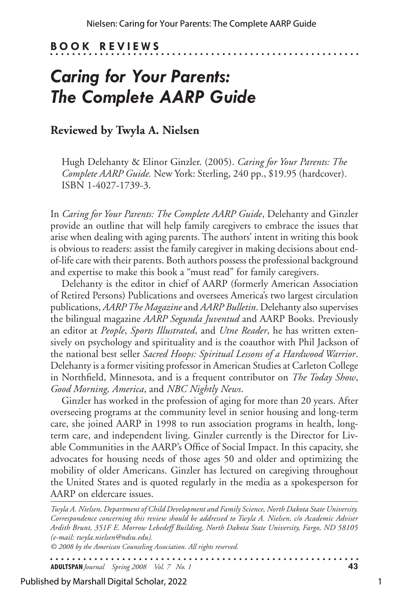## **B O O K R E V I E W s**

# *Caring for Your Parents: The Complete AARP Guide*

### **Reviewed by Twyla A. Nielsen**

Hugh Delehanty & Elinor Ginzler. (2005). *Caring for Your Parents: The Complete AARP Guide.* New York: Sterling, 240 pp., \$19.95 (hardcover). ISBN 1-4027-1739-3.

In *Caring for Your Parents: The Complete AARP Guide*, Delehanty and Ginzler provide an outline that will help family caregivers to embrace the issues that arise when dealing with aging parents. The authors' intent in writing this book is obvious to readers: assist the family caregiver in making decisions about endof-life care with their parents. Both authors possess the professional background and expertise to make this book a "must read" for family caregivers.

Delehanty is the editor in chief of AARP (formerly American Association of Retired Persons) Publications and oversees America's two largest circulation publications, *AARP The Magazine* and *AARP Bulletin*. Delehanty also supervises the bilingual magazine *AARP Segunda Juventud* and AARP Books. Previously an editor at *People*, *Sports Illustrated*, and *Utne Reader*, he has written extensively on psychology and spirituality and is the coauthor with Phil Jackson of the national best seller *Sacred Hoops: Spiritual Lessons of a Hardwood Warrior*. Delehanty is a former visiting professor in American Studies at Carleton College in Northfield, Minnesota, and is a frequent contributor on *The Today Show*, *Good Morning, America*, and *NBC Nightly News*.

Ginzler has worked in the profession of aging for more than 20 years. After overseeing programs at the community level in senior housing and long-term care, she joined AARP in 1998 to run association programs in health, longterm care, and independent living. Ginzler currently is the Director for Livable Communities in the AARP's Office of Social Impact. In this capacity, she advocates for housing needs of those ages 50 and older and optimizing the mobility of older Americans. Ginzler has lectured on caregiving throughout the United States and is quoted regularly in the media as a spokesperson for AARP on eldercare issues.

*Twyla A. Nielsen, Department of Child Development and Family Science, North Dakota State University. Correspondence concerning this review should be addressed to Twyla A. Nielsen, c/o Academic Adviser Ardith Brunt, 351F E. Morrow Lebedeff Building, North Dakota State University, Fargo, ND 58105 (e-mail: twyla.nielsen@ndsu.edu).*

. . . . . . . . . . . . . . . . .

*© 2008 by the American Counseling Association. All rights reserved.*

**ADULTSPAN***Journal Spring 2008 Vol. 7 No. 1* **43**

Published by Marshall Digital Scholar, 2022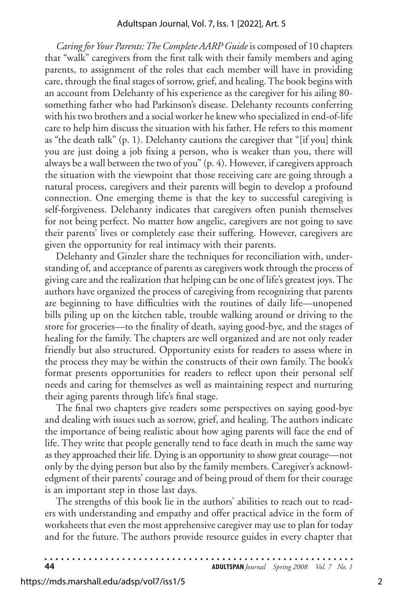#### Adultspan Journal, Vol. 7, Iss. 1 [2022], Art. 5

*Caring for Your Parents: The Complete AARP Guide* is composed of 10 chapters that "walk" caregivers from the first talk with their family members and aging parents, to assignment of the roles that each member will have in providing care, through the final stages of sorrow, grief, and healing.The book begins with an account from Delehanty of his experience as the caregiver for his ailing 80 something father who had Parkinson's disease. Delehanty recounts conferring with his two brothers and a social worker he knew who specialized in end-of-life care to help him discuss the situation with his father. He refers to this moment as "the death talk" (p. 1). Delehanty cautions the caregiver that "[if you] think you are just doing a job fixing a person, who is weaker than you, there will always be a wall between the two of you" (p. 4). However, if caregivers approach the situation with the viewpoint that those receiving care are going through a natural process, caregivers and their parents will begin to develop a profound connection. One emerging theme is that the key to successful caregiving is self-forgiveness. Delehanty indicates that caregivers often punish themselves for not being perfect. No matter how angelic, caregivers are not going to save their parents' lives or completely ease their suffering. However, caregivers are given the opportunity for real intimacy with their parents.

Delehanty and Ginzler share the techniques for reconciliation with, understanding of, and acceptance of parents as caregivers work through the process of giving care and the realization that helping can be one of life's greatest joys. The authors have organized the process of caregiving from recognizing that parents are beginning to have difficulties with the routines of daily life—unopened bills piling up on the kitchen table, trouble walking around or driving to the store for groceries—to the finality of death, saying good-bye, and the stages of healing for the family. The chapters are well organized and are not only reader friendly but also structured. Opportunity exists for readers to assess where in the process they may be within the constructs of their own family. The book's format presents opportunities for readers to reflect upon their personal self needs and caring for themselves as well as maintaining respect and nurturing their aging parents through life's final stage.

The final two chapters give readers some perspectives on saying good-bye and dealing with issues such as sorrow, grief, and healing. The authors indicate the importance of being realistic about how aging parents will face the end of life. They write that people generally tend to face death in much the same way as they approached their life. Dying is an opportunity to show great courage—not only by the dying person but also by the family members. Caregiver's acknowledgment of their parents' courage and of being proud of them for their courage is an important step in those last days.

The strengths of this book lie in the authors' abilities to reach out to readers with understanding and empathy and offer practical advice in the form of worksheets that even the most apprehensive caregiver may use to plan for today and for the future. The authors provide resource guides in every chapter that

**44 ADULTSPAN***Journal Spring 2008 Vol. 7 No. 1*